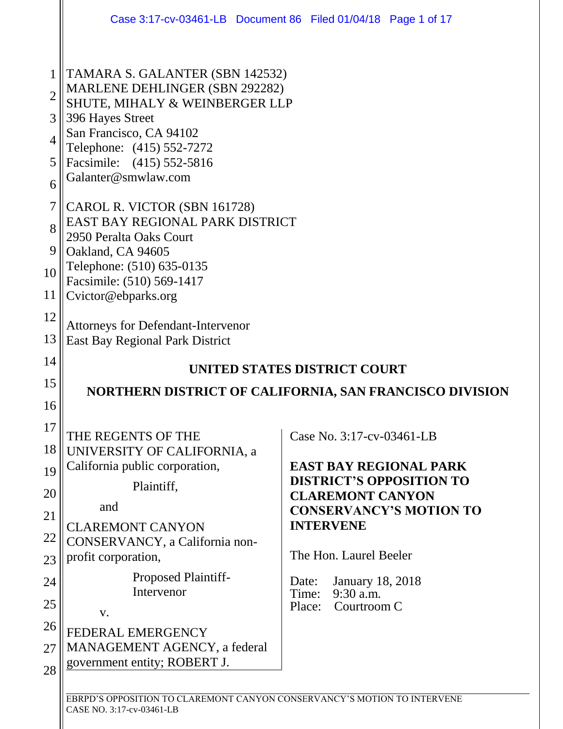|                | Case 3:17-cv-03461-LB Document 86 Filed 01/04/18 Page 1 of 17                     |                                                                  |  |  |  |
|----------------|-----------------------------------------------------------------------------------|------------------------------------------------------------------|--|--|--|
| $\mathbf{1}$   | TAMARA S. GALANTER (SBN 142532)                                                   |                                                                  |  |  |  |
| $\overline{2}$ | MARLENE DEHLINGER (SBN 292282)<br>SHUTE, MIHALY & WEINBERGER LLP                  |                                                                  |  |  |  |
| 3              | 396 Hayes Street                                                                  |                                                                  |  |  |  |
| $\overline{4}$ | San Francisco, CA 94102<br>Telephone: (415) 552-7272<br>Facsimile: (415) 552-5816 |                                                                  |  |  |  |
| 5              |                                                                                   |                                                                  |  |  |  |
| 6              | Galanter@smwlaw.com                                                               |                                                                  |  |  |  |
| $\overline{7}$ | CAROL R. VICTOR (SBN 161728)                                                      |                                                                  |  |  |  |
| 8              | EAST BAY REGIONAL PARK DISTRICT<br>2950 Peralta Oaks Court                        |                                                                  |  |  |  |
| 9              | Oakland, CA 94605                                                                 |                                                                  |  |  |  |
| 10             | Telephone: (510) 635-0135<br>Facsimile: (510) 569-1417                            |                                                                  |  |  |  |
| 11             | Cvictor@ebparks.org                                                               |                                                                  |  |  |  |
| 12             | Attorneys for Defendant-Intervenor                                                |                                                                  |  |  |  |
| 13             | East Bay Regional Park District                                                   |                                                                  |  |  |  |
|                |                                                                                   |                                                                  |  |  |  |
| 14             |                                                                                   | UNITED STATES DISTRICT COURT                                     |  |  |  |
| 15             |                                                                                   | NORTHERN DISTRICT OF CALIFORNIA, SAN FRANCISCO DIVISION          |  |  |  |
| 16             |                                                                                   |                                                                  |  |  |  |
| 17             | THE REGENTS OF THE                                                                | Case No. 3:17-cv-03461-LB                                        |  |  |  |
| 18             | UNIVERSITY OF CALIFORNIA, a                                                       |                                                                  |  |  |  |
| 19             | California public corporation,<br>Plaintiff,                                      | <b>EAST BAY REGIONAL PARK</b><br><b>DISTRICT'S OPPOSITION TO</b> |  |  |  |
| 20             | and                                                                               | <b>CLAREMONT CANYON</b>                                          |  |  |  |
| 21             | <b>CLAREMONT CANYON</b>                                                           | <b>CONSERVANCY'S MOTION TO</b><br><b>INTERVENE</b>               |  |  |  |
| 22             | CONSERVANCY, a California non-                                                    | The Hon. Laurel Beeler                                           |  |  |  |
| 23             | profit corporation,                                                               |                                                                  |  |  |  |
| 24             | <b>Proposed Plaintiff-</b><br>Intervenor                                          | <b>January 18, 2018</b><br>Date:<br>9:30 a.m.<br>Time:           |  |  |  |
| 25             | V.                                                                                | Courtroom C<br>Place:                                            |  |  |  |
| 26             | <b>FEDERAL EMERGENCY</b>                                                          |                                                                  |  |  |  |
| 27<br>28       | MANAGEMENT AGENCY, a federal<br>government entity; ROBERT J.                      |                                                                  |  |  |  |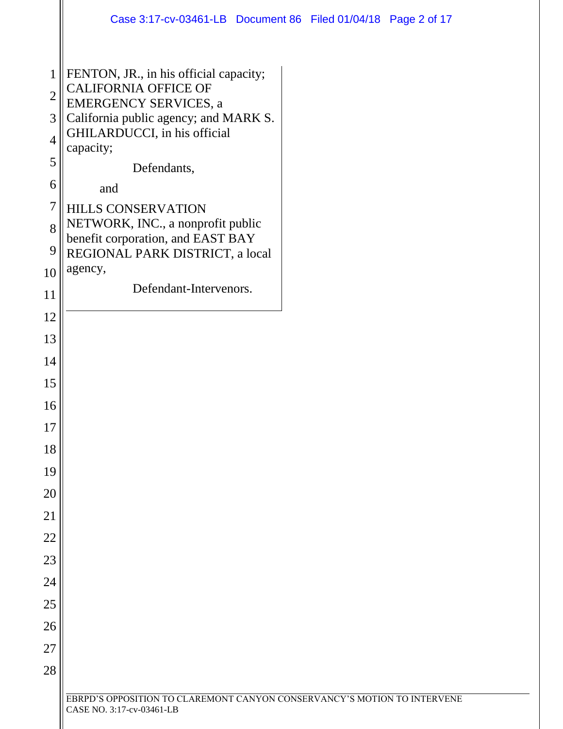|                                | Case 3:17-cv-03461-LB Document 86 Filed 01/04/18 Page 2 of 17            |
|--------------------------------|--------------------------------------------------------------------------|
|                                |                                                                          |
| $\mathbf{1}$<br>$\overline{2}$ | FENTON, JR., in his official capacity;<br><b>CALIFORNIA OFFICE OF</b>    |
|                                | <b>EMERGENCY SERVICES, a</b>                                             |
| 3<br>$\overline{4}$            | California public agency; and MARK S.<br>GHILARDUCCI, in his official    |
| 5                              | capacity;<br>Defendants,                                                 |
| 6                              | and                                                                      |
| $\overline{7}$                 | HILLS CONSERVATION                                                       |
| 8                              | NETWORK, INC., a nonprofit public<br>benefit corporation, and EAST BAY   |
| 9                              | REGIONAL PARK DISTRICT, a local                                          |
| 10                             | agency,                                                                  |
| 11                             | Defendant-Intervenors.                                                   |
| 12                             |                                                                          |
| 13                             |                                                                          |
| 14                             |                                                                          |
| 15                             |                                                                          |
| 16                             |                                                                          |
| 17                             |                                                                          |
| 18                             |                                                                          |
| 19                             |                                                                          |
| 20                             |                                                                          |
| 21                             |                                                                          |
| 22                             |                                                                          |
| 23                             |                                                                          |
| 24                             |                                                                          |
| 25                             |                                                                          |
| 26                             |                                                                          |
| 27                             |                                                                          |
| 28                             |                                                                          |
|                                | EBRPD'S OPPOSITION TO CLAREMONT CANYON CONSERVANCY'S MOTION TO INTERVENE |
|                                | CASE NO. 3:17-cv-03461-LB                                                |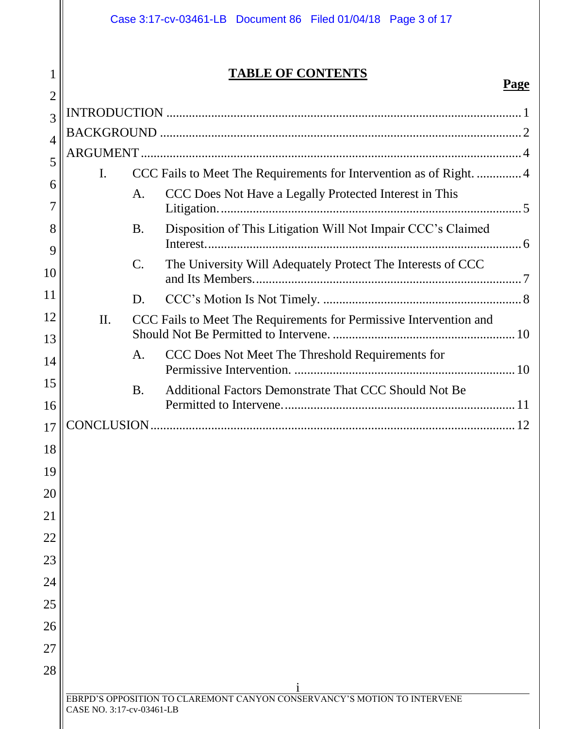1

# **TABLE OF CONTENTS**

| $\overline{2}$ |                           |                 | <u>i agc</u>                                                             |
|----------------|---------------------------|-----------------|--------------------------------------------------------------------------|
| 3              |                           |                 |                                                                          |
| $\overline{4}$ |                           |                 |                                                                          |
| 5              |                           |                 |                                                                          |
|                | I.                        |                 | CCC Fails to Meet The Requirements for Intervention as of Right4         |
| 6<br>7         |                           | А.              | CCC Does Not Have a Legally Protected Interest in This                   |
| 8<br>9         |                           | <b>B.</b>       | Disposition of This Litigation Will Not Impair CCC's Claimed             |
| 10             |                           | $\mathcal{C}$ . | The University Will Adequately Protect The Interests of CCC              |
| 11             |                           | D.              |                                                                          |
| 12<br>13       | II.                       |                 | CCC Fails to Meet The Requirements for Permissive Intervention and       |
| 14             |                           | A.              | CCC Does Not Meet The Threshold Requirements for                         |
| 15<br>16       |                           | <b>B.</b>       | Additional Factors Demonstrate That CCC Should Not Be                    |
| 17             |                           |                 |                                                                          |
| 18             |                           |                 |                                                                          |
| 19             |                           |                 |                                                                          |
| 20             |                           |                 |                                                                          |
| 21             |                           |                 |                                                                          |
| 22             |                           |                 |                                                                          |
| 23             |                           |                 |                                                                          |
| 24             |                           |                 |                                                                          |
| 25             |                           |                 |                                                                          |
| 26             |                           |                 |                                                                          |
| 27             |                           |                 |                                                                          |
| 28             |                           |                 |                                                                          |
|                | CASE NO. 3:17-cv-03461-LB |                 | EBRPD'S OPPOSITION TO CLAREMONT CANYON CONSERVANCY'S MOTION TO INTERVENE |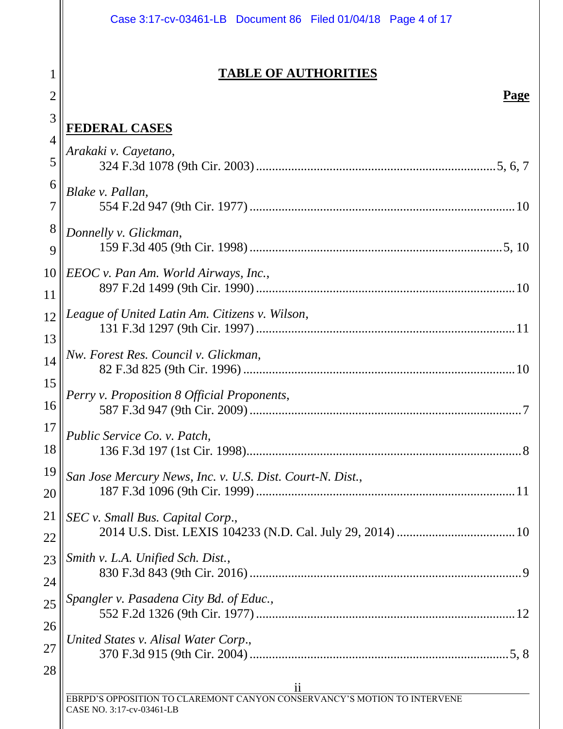|                | Case 3:17-cv-03461-LB Document 86 Filed 01/04/18 Page 4 of 17            |
|----------------|--------------------------------------------------------------------------|
|                |                                                                          |
| 1              | <b>TABLE OF AUTHORITIES</b>                                              |
| $\overline{2}$ | <u>Page</u>                                                              |
| 3              | <u>FEDERAL CASES</u>                                                     |
| $\overline{4}$ | Arakaki v. Cayetano,                                                     |
| 5              |                                                                          |
| 6              | Blake v. Pallan,                                                         |
| 7              |                                                                          |
| 8              | Donnelly v. Glickman,                                                    |
| 9              |                                                                          |
| 10             | EEOC v. Pan Am. World Airways, Inc.,                                     |
| 11             |                                                                          |
| 12             | League of United Latin Am. Citizens v. Wilson,                           |
| 13             |                                                                          |
| 14             | Nw. Forest Res. Council v. Glickman,                                     |
| 15             | Perry v. Proposition 8 Official Proponents,                              |
| 16             | 587 F.3d 947 (9th Cir. 2009).<br>$\dots 7$                               |
| 17             | Public Service Co. v. Patch,                                             |
| 18             |                                                                          |
| 19             | San Jose Mercury News, Inc. v. U.S. Dist. Court-N. Dist.,                |
| 20             |                                                                          |
| 21             | SEC v. Small Bus. Capital Corp.,                                         |
| 22             |                                                                          |
| 23             | Smith v. L.A. Unified Sch. Dist.,                                        |
| 24             | Spangler v. Pasadena City Bd. of Educ.,                                  |
| 25             |                                                                          |
| 26             | United States v. Alisal Water Corp.,                                     |
| 27             |                                                                          |
| 28             | $\overline{\mathbf{u}}$                                                  |
|                | EBRPD'S OPPOSITION TO CLAREMONT CANYON CONSERVANCY'S MOTION TO INTERVENE |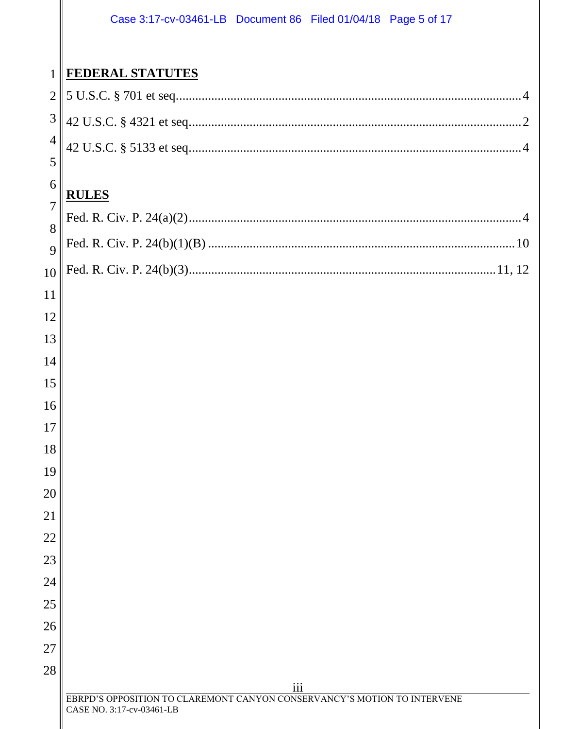#### Case 3:17-cv-03461-LB Document 86 Filed 01/04/18 Page 5 of 17

# **FEDERAL STATUTES**

#### **RULES**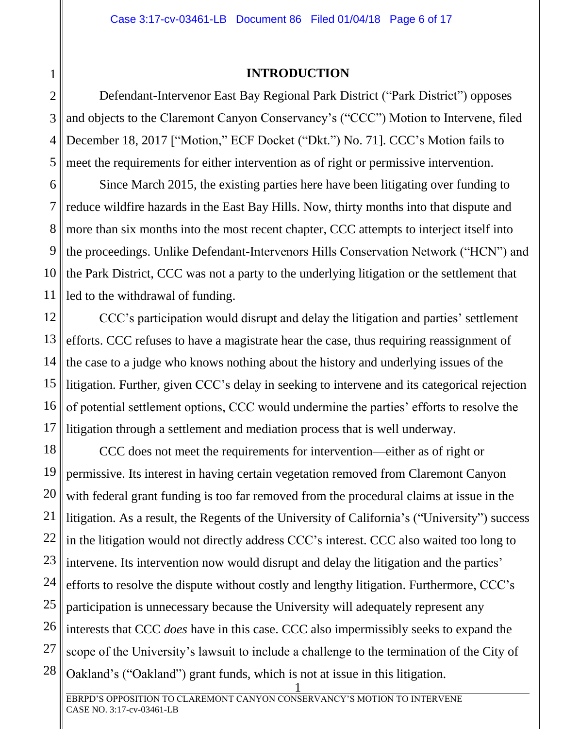#### **INTRODUCTION**

<span id="page-5-0"></span>Defendant-Intervenor East Bay Regional Park District ("Park District") opposes and objects to the Claremont Canyon Conservancy's ("CCC") Motion to Intervene, filed December 18, 2017 ["Motion," ECF Docket ("Dkt.") No. 71]. CCC's Motion fails to meet the requirements for either intervention as of right or permissive intervention.

9 Since March 2015, the existing parties here have been litigating over funding to reduce wildfire hazards in the East Bay Hills. Now, thirty months into that dispute and more than six months into the most recent chapter, CCC attempts to interject itself into the proceedings. Unlike Defendant-Intervenors Hills Conservation Network ("HCN") and the Park District, CCC was not a party to the underlying litigation or the settlement that led to the withdrawal of funding.

14 16 CCC's participation would disrupt and delay the litigation and parties' settlement efforts. CCC refuses to have a magistrate hear the case, thus requiring reassignment of the case to a judge who knows nothing about the history and underlying issues of the litigation. Further, given CCC's delay in seeking to intervene and its categorical rejection of potential settlement options, CCC would undermine the parties' efforts to resolve the litigation through a settlement and mediation process that is well underway.

18 22 24 25 26 27 28 CCC does not meet the requirements for intervention—either as of right or permissive. Its interest in having certain vegetation removed from Claremont Canyon with federal grant funding is too far removed from the procedural claims at issue in the litigation. As a result, the Regents of the University of California's ("University") success in the litigation would not directly address CCC's interest. CCC also waited too long to intervene. Its intervention now would disrupt and delay the litigation and the parties' efforts to resolve the dispute without costly and lengthy litigation. Furthermore, CCC's participation is unnecessary because the University will adequately represent any interests that CCC *does* have in this case. CCC also impermissibly seeks to expand the scope of the University's lawsuit to include a challenge to the termination of the City of Oakland's ("Oakland") grant funds, which is not at issue in this litigation.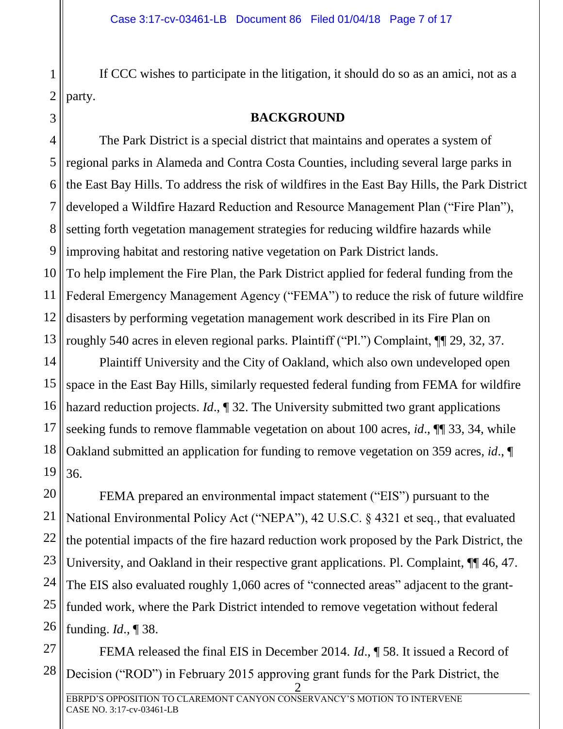If CCC wishes to participate in the litigation, it should do so as an amici, not as a party.

#### **BACKGROUND**

<span id="page-6-0"></span>4 5 6 7 9 The Park District is a special district that maintains and operates a system of regional parks in Alameda and Contra Costa Counties, including several large parks in the East Bay Hills. To address the risk of wildfires in the East Bay Hills, the Park District developed a Wildfire Hazard Reduction and Resource Management Plan ("Fire Plan"), setting forth vegetation management strategies for reducing wildfire hazards while improving habitat and restoring native vegetation on Park District lands. To help implement the Fire Plan, the Park District applied for federal funding from the Federal Emergency Management Agency ("FEMA") to reduce the risk of future wildfire disasters by performing vegetation management work described in its Fire Plan on roughly 540 acres in eleven regional parks. Plaintiff ("Pl.") Complaint, ¶¶ 29, 32, 37.

16 Plaintiff University and the City of Oakland, which also own undeveloped open space in the East Bay Hills, similarly requested federal funding from FEMA for wildfire hazard reduction projects. *Id.*, 1 32. The University submitted two grant applications seeking funds to remove flammable vegetation on about 100 acres, *id*., ¶¶ 33, 34, while Oakland submitted an application for funding to remove vegetation on 359 acres, *id*., ¶ 36.

FEMA prepared an environmental impact statement ("EIS") pursuant to the National Environmental Policy Act ("NEPA"), 42 U.S.C. § 4321 et seq., that evaluated the potential impacts of the fire hazard reduction work proposed by the Park District, the University, and Oakland in their respective grant applications. Pl. Complaint,  $\P\P$  46, 47. The EIS also evaluated roughly 1,060 acres of "connected areas" adjacent to the grantfunded work, where the Park District intended to remove vegetation without federal funding. *Id*., ¶ 38.

28 FEMA released the final EIS in December 2014. *Id*., ¶ 58. It issued a Record of Decision ("ROD") in February 2015 approving grant funds for the Park District, the

1

2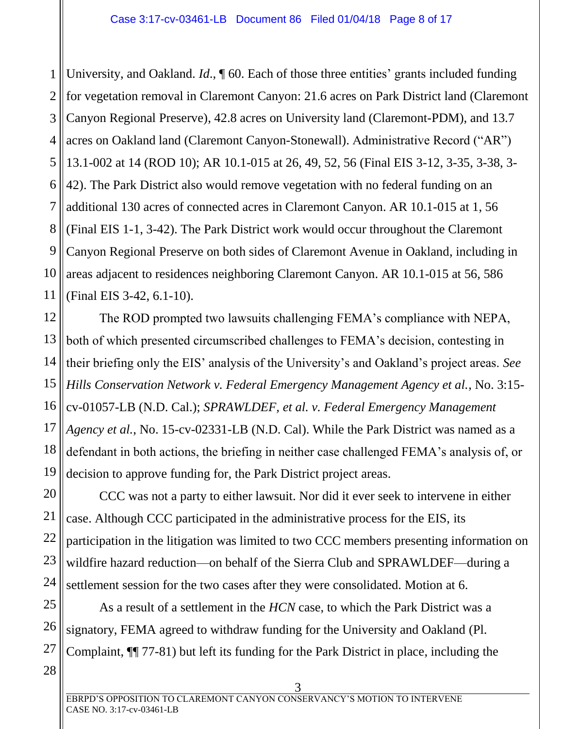1 2 3 4 5 6 7 8 9 10 11 University, and Oakland. *Id*., ¶ 60. Each of those three entities' grants included funding for vegetation removal in Claremont Canyon: 21.6 acres on Park District land (Claremont Canyon Regional Preserve), 42.8 acres on University land (Claremont-PDM), and 13.7 acres on Oakland land (Claremont Canyon-Stonewall). Administrative Record ("AR") 13.1-002 at 14 (ROD 10); AR 10.1-015 at 26, 49, 52, 56 (Final EIS 3-12, 3-35, 3-38, 3- 42). The Park District also would remove vegetation with no federal funding on an additional 130 acres of connected acres in Claremont Canyon. AR 10.1-015 at 1, 56 (Final EIS 1-1, 3-42). The Park District work would occur throughout the Claremont Canyon Regional Preserve on both sides of Claremont Avenue in Oakland, including in areas adjacent to residences neighboring Claremont Canyon. AR 10.1-015 at 56, 586 (Final EIS 3-42, 6.1-10).

12 13 14 15 16 17 18 19 The ROD prompted two lawsuits challenging FEMA's compliance with NEPA, both of which presented circumscribed challenges to FEMA's decision, contesting in their briefing only the EIS' analysis of the University's and Oakland's project areas. *See Hills Conservation Network v. Federal Emergency Management Agency et al.*, No. 3:15 cv-01057-LB (N.D. Cal.); *SPRAWLDEF, et al. v. Federal Emergency Management Agency et al.*, No. 15-cv-02331-LB (N.D. Cal). While the Park District was named as a defendant in both actions, the briefing in neither case challenged FEMA's analysis of, or decision to approve funding for, the Park District project areas.

20 21 22 23 24 CCC was not a party to either lawsuit. Nor did it ever seek to intervene in either case. Although CCC participated in the administrative process for the EIS, its participation in the litigation was limited to two CCC members presenting information on wildfire hazard reduction—on behalf of the Sierra Club and SPRAWLDEF—during a settlement session for the two cases after they were consolidated. Motion at 6.

25 26 27 As a result of a settlement in the *HCN* case, to which the Park District was a signatory, FEMA agreed to withdraw funding for the University and Oakland (Pl. Complaint, ¶¶ 77-81) but left its funding for the Park District in place, including the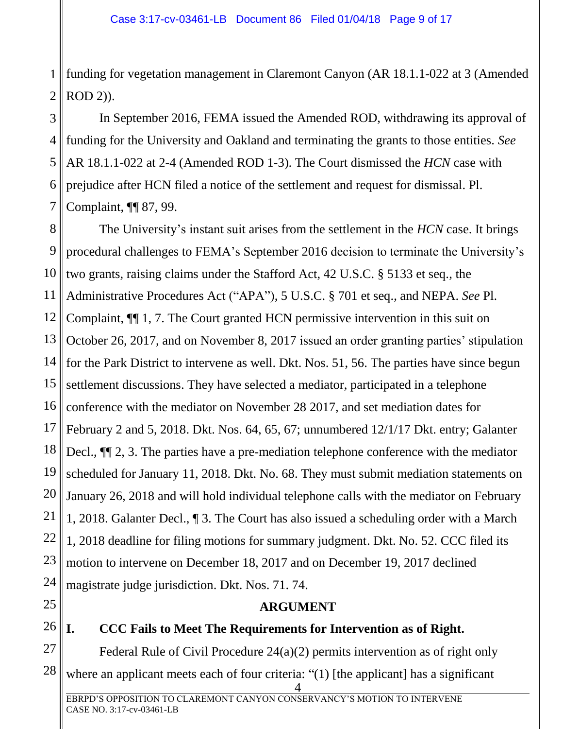1 2 funding for vegetation management in Claremont Canyon (AR 18.1.1-022 at 3 (Amended ROD 2)).

3 4 5 6 7 In September 2016, FEMA issued the Amended ROD, withdrawing its approval of funding for the University and Oakland and terminating the grants to those entities. *See* AR 18.1.1-022 at 2-4 (Amended ROD 1-3). The Court dismissed the *HCN* case with prejudice after HCN filed a notice of the settlement and request for dismissal. Pl. Complaint, ¶¶ 87, 99.

8 9 10 11 12 13 14 15 16 17 18 19 20 21 22 23 24 The University's instant suit arises from the settlement in the *HCN* case. It brings procedural challenges to FEMA's September 2016 decision to terminate the University's two grants, raising claims under the Stafford Act, 42 U.S.C. § 5133 et seq., the Administrative Procedures Act ("APA"), 5 U.S.C. § 701 et seq., and NEPA. *See* Pl. Complaint, ¶¶ 1, 7. The Court granted HCN permissive intervention in this suit on October 26, 2017, and on November 8, 2017 issued an order granting parties' stipulation for the Park District to intervene as well. Dkt. Nos. 51, 56. The parties have since begun settlement discussions. They have selected a mediator, participated in a telephone conference with the mediator on November 28 2017, and set mediation dates for February 2 and 5, 2018. Dkt. Nos. 64, 65, 67; unnumbered 12/1/17 Dkt. entry; Galanter Decl., ¶¶ 2, 3. The parties have a pre-mediation telephone conference with the mediator scheduled for January 11, 2018. Dkt. No. 68. They must submit mediation statements on January 26, 2018 and will hold individual telephone calls with the mediator on February 1, 2018. Galanter Decl., ¶ 3. The Court has also issued a scheduling order with a March 1, 2018 deadline for filing motions for summary judgment. Dkt. No. 52. CCC filed its motion to intervene on December 18, 2017 and on December 19, 2017 declined magistrate judge jurisdiction. Dkt. Nos. 71. 74.

<span id="page-8-0"></span>25

26

## **ARGUMENT**

### <span id="page-8-1"></span>**I. CCC Fails to Meet The Requirements for Intervention as of Right.**

27 28 Federal Rule of Civil Procedure 24(a)(2) permits intervention as of right only where an applicant meets each of four criteria: "(1) [the applicant] has a significant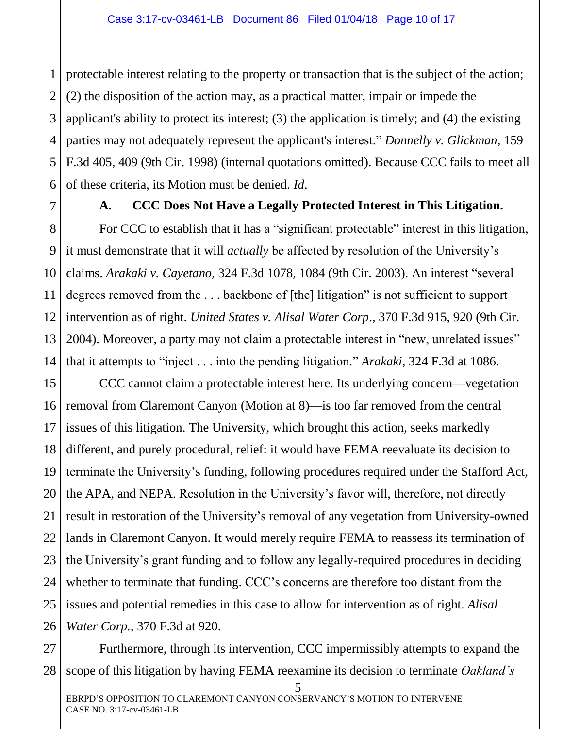1 2 3 4 5 6 protectable interest relating to the property or transaction that is the subject of the action; (2) the disposition of the action may, as a practical matter, impair or impede the applicant's ability to protect its interest; (3) the application is timely; and (4) the existing parties may not adequately represent the applicant's interest." *Donnelly v. Glickman*, 159 F.3d 405, 409 (9th Cir. 1998) (internal quotations omitted). Because CCC fails to meet all of these criteria, its Motion must be denied. *Id*.

<span id="page-9-0"></span>7

## **A. CCC Does Not Have a Legally Protected Interest in This Litigation.**

8 9 10 11 12 13 14 For CCC to establish that it has a "significant protectable" interest in this litigation, it must demonstrate that it will *actually* be affected by resolution of the University's claims. *Arakaki v. Cayetano*, 324 F.3d 1078, 1084 (9th Cir. 2003). An interest "several degrees removed from the . . . backbone of [the] litigation" is not sufficient to support intervention as of right. *United States v. Alisal Water Corp*., 370 F.3d 915, 920 (9th Cir. 2004). Moreover, a party may not claim a protectable interest in "new, unrelated issues" that it attempts to "inject . . . into the pending litigation." *Arakaki*, 324 F.3d at 1086.

15 16 17 18 19 20 21 22 23 24 25 26 CCC cannot claim a protectable interest here. Its underlying concern—vegetation removal from Claremont Canyon (Motion at 8)—is too far removed from the central issues of this litigation. The University, which brought this action, seeks markedly different, and purely procedural, relief: it would have FEMA reevaluate its decision to terminate the University's funding, following procedures required under the Stafford Act, the APA, and NEPA. Resolution in the University's favor will, therefore, not directly result in restoration of the University's removal of any vegetation from University-owned lands in Claremont Canyon. It would merely require FEMA to reassess its termination of the University's grant funding and to follow any legally-required procedures in deciding whether to terminate that funding. CCC's concerns are therefore too distant from the issues and potential remedies in this case to allow for intervention as of right. *Alisal Water Corp.*, 370 F.3d at 920.

27 28 Furthermore, through its intervention, CCC impermissibly attempts to expand the scope of this litigation by having FEMA reexamine its decision to terminate *Oakland's*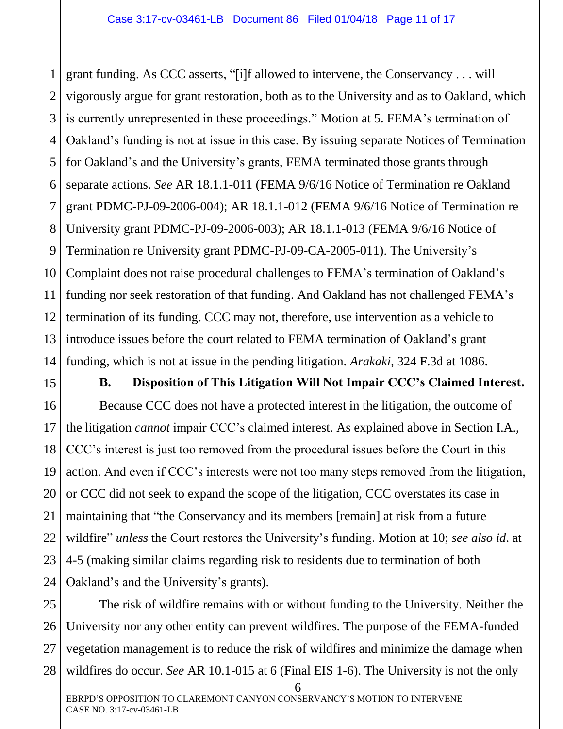1 2 3 4 5 6 7 8 9 10 11 12 13 14 grant funding. As CCC asserts, "[i]f allowed to intervene, the Conservancy . . . will vigorously argue for grant restoration, both as to the University and as to Oakland, which is currently unrepresented in these proceedings." Motion at 5. FEMA's termination of Oakland's funding is not at issue in this case. By issuing separate Notices of Termination for Oakland's and the University's grants, FEMA terminated those grants through separate actions. *See* AR 18.1.1-011 (FEMA 9/6/16 Notice of Termination re Oakland grant PDMC-PJ-09-2006-004); AR 18.1.1-012 (FEMA 9/6/16 Notice of Termination re University grant PDMC-PJ-09-2006-003); AR 18.1.1-013 (FEMA 9/6/16 Notice of Termination re University grant PDMC-PJ-09-CA-2005-011). The University's Complaint does not raise procedural challenges to FEMA's termination of Oakland's funding nor seek restoration of that funding. And Oakland has not challenged FEMA's termination of its funding. CCC may not, therefore, use intervention as a vehicle to introduce issues before the court related to FEMA termination of Oakland's grant funding, which is not at issue in the pending litigation. *Arakaki*, 324 F.3d at 1086.

<span id="page-10-0"></span>15

#### **B. Disposition of This Litigation Will Not Impair CCC's Claimed Interest.**

16 17 18 19 20 21 22 23 24 Because CCC does not have a protected interest in the litigation, the outcome of the litigation *cannot* impair CCC's claimed interest. As explained above in Section I.A., CCC's interest is just too removed from the procedural issues before the Court in this action. And even if CCC's interests were not too many steps removed from the litigation, or CCC did not seek to expand the scope of the litigation, CCC overstates its case in maintaining that "the Conservancy and its members [remain] at risk from a future wildfire" *unless* the Court restores the University's funding. Motion at 10; *see also id*. at 4-5 (making similar claims regarding risk to residents due to termination of both Oakland's and the University's grants).

25 26 27 28 The risk of wildfire remains with or without funding to the University. Neither the University nor any other entity can prevent wildfires. The purpose of the FEMA-funded vegetation management is to reduce the risk of wildfires and minimize the damage when wildfires do occur. *See* AR 10.1-015 at 6 (Final EIS 1-6). The University is not the only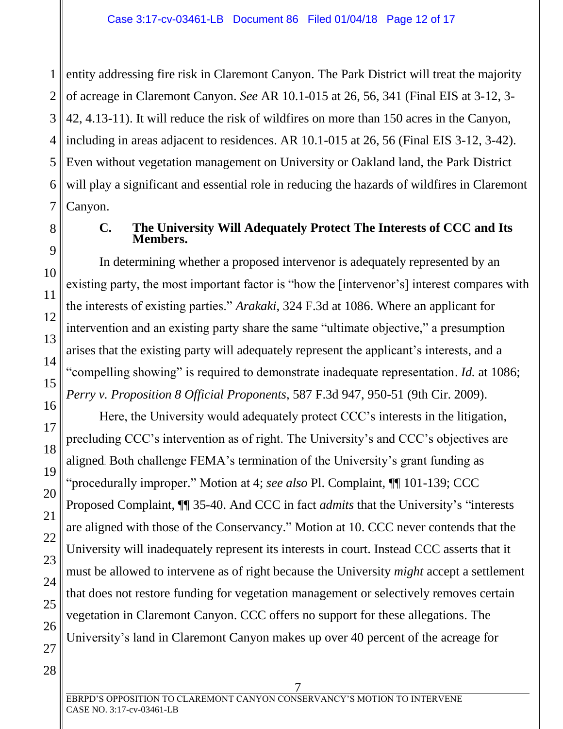1 2 3 4 5 6 7 entity addressing fire risk in Claremont Canyon. The Park District will treat the majority of acreage in Claremont Canyon. *See* AR 10.1-015 at 26, 56, 341 (Final EIS at 3-12, 3- 42, 4.13-11). It will reduce the risk of wildfires on more than 150 acres in the Canyon, including in areas adjacent to residences. AR 10.1-015 at 26, 56 (Final EIS 3-12, 3-42). Even without vegetation management on University or Oakland land, the Park District will play a significant and essential role in reducing the hazards of wildfires in Claremont Canyon.

<span id="page-11-0"></span>

8

9

10

11

12

13

14

15

16

17

18

19

20

21

22

23

24

25

26

27

#### **C. The University Will Adequately Protect The Interests of CCC and Its Members.**

In determining whether a proposed intervenor is adequately represented by an existing party, the most important factor is "how the [intervenor's] interest compares with the interests of existing parties." *Arakaki*, 324 F.3d at 1086. Where an applicant for intervention and an existing party share the same "ultimate objective," a presumption arises that the existing party will adequately represent the applicant's interests, and a "compelling showing" is required to demonstrate inadequate representation. *Id.* at 1086; *Perry v. Proposition 8 Official Proponents*, 587 F.3d 947, 950-51 (9th Cir. 2009).

Here, the University would adequately protect CCC's interests in the litigation, precluding CCC's intervention as of right. The University's and CCC's objectives are aligned. Both challenge FEMA's termination of the University's grant funding as "procedurally improper." Motion at 4; *see also* Pl. Complaint, ¶¶ 101-139; CCC Proposed Complaint, ¶¶ 35-40. And CCC in fact *admits* that the University's "interests are aligned with those of the Conservancy." Motion at 10. CCC never contends that the University will inadequately represent its interests in court. Instead CCC asserts that it must be allowed to intervene as of right because the University *might* accept a settlement that does not restore funding for vegetation management or selectively removes certain vegetation in Claremont Canyon. CCC offers no support for these allegations. The University's land in Claremont Canyon makes up over 40 percent of the acreage for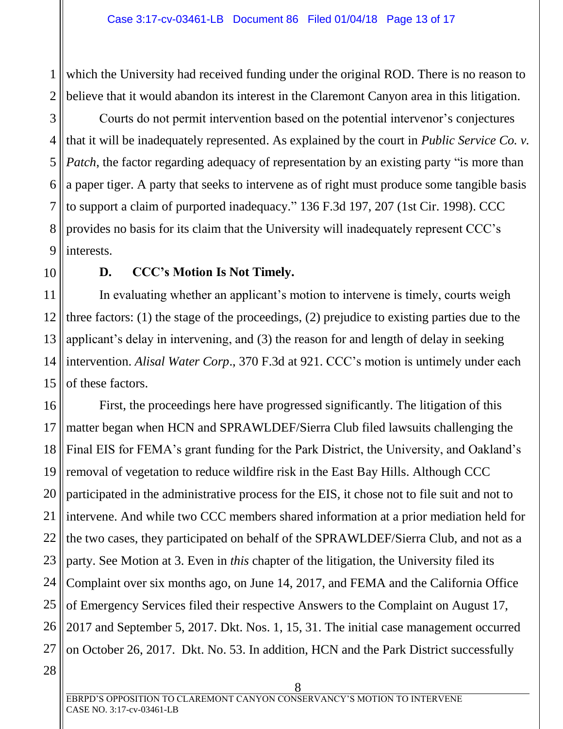1 2 which the University had received funding under the original ROD. There is no reason to believe that it would abandon its interest in the Claremont Canyon area in this litigation.

3 4 5 6 7 8 9 Courts do not permit intervention based on the potential intervenor's conjectures that it will be inadequately represented. As explained by the court in *Public Service Co. v. Patch*, the factor regarding adequacy of representation by an existing party "is more than a paper tiger. A party that seeks to intervene as of right must produce some tangible basis to support a claim of purported inadequacy." 136 F.3d 197, 207 (1st Cir. 1998). CCC provides no basis for its claim that the University will inadequately represent CCC's interests.

<span id="page-12-0"></span>10

### **D. CCC's Motion Is Not Timely.**

11 12 13 14 15 In evaluating whether an applicant's motion to intervene is timely, courts weigh three factors: (1) the stage of the proceedings, (2) prejudice to existing parties due to the applicant's delay in intervening, and (3) the reason for and length of delay in seeking intervention. *Alisal Water Corp*., 370 F.3d at 921. CCC's motion is untimely under each of these factors.

16 17 18 19 20 21 22 23 24 25 26 27 First, the proceedings here have progressed significantly. The litigation of this matter began when HCN and SPRAWLDEF/Sierra Club filed lawsuits challenging the Final EIS for FEMA's grant funding for the Park District, the University, and Oakland's removal of vegetation to reduce wildfire risk in the East Bay Hills. Although CCC participated in the administrative process for the EIS, it chose not to file suit and not to intervene. And while two CCC members shared information at a prior mediation held for the two cases, they participated on behalf of the SPRAWLDEF/Sierra Club, and not as a party. See Motion at 3. Even in *this* chapter of the litigation, the University filed its Complaint over six months ago, on June 14, 2017, and FEMA and the California Office of Emergency Services filed their respective Answers to the Complaint on August 17, 2017 and September 5, 2017. Dkt. Nos. 1, 15, 31. The initial case management occurred on October 26, 2017. Dkt. No. 53. In addition, HCN and the Park District successfully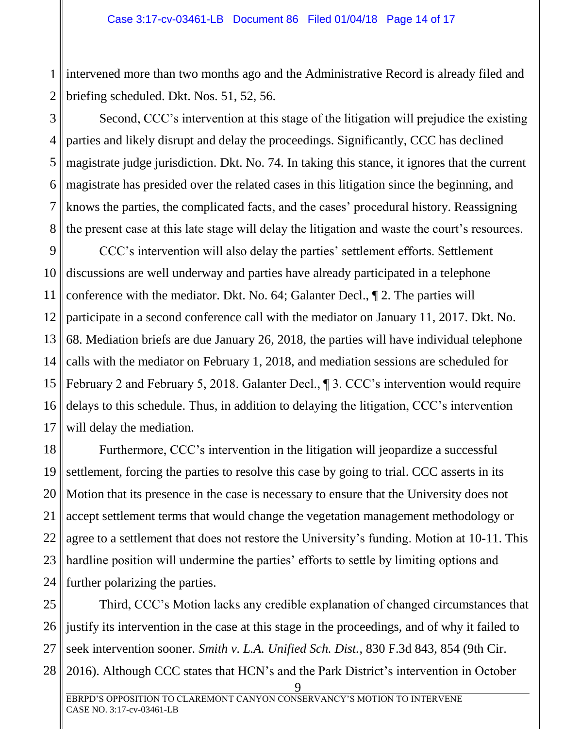1 2 intervened more than two months ago and the Administrative Record is already filed and briefing scheduled. Dkt. Nos. 51, 52, 56.

3 4 5 6 7 8 Second, CCC's intervention at this stage of the litigation will prejudice the existing parties and likely disrupt and delay the proceedings. Significantly, CCC has declined magistrate judge jurisdiction. Dkt. No. 74. In taking this stance, it ignores that the current magistrate has presided over the related cases in this litigation since the beginning, and knows the parties, the complicated facts, and the cases' procedural history. Reassigning the present case at this late stage will delay the litigation and waste the court's resources.

9 10 11 12 13 14 15 16 17 CCC's intervention will also delay the parties' settlement efforts. Settlement discussions are well underway and parties have already participated in a telephone conference with the mediator. Dkt. No. 64; Galanter Decl., ¶ 2. The parties will participate in a second conference call with the mediator on January 11, 2017. Dkt. No. 68. Mediation briefs are due January 26, 2018, the parties will have individual telephone calls with the mediator on February 1, 2018, and mediation sessions are scheduled for February 2 and February 5, 2018. Galanter Decl., ¶ 3. CCC's intervention would require delays to this schedule. Thus, in addition to delaying the litigation, CCC's intervention will delay the mediation.

18 19 20 21 22 23 24 Furthermore, CCC's intervention in the litigation will jeopardize a successful settlement, forcing the parties to resolve this case by going to trial. CCC asserts in its Motion that its presence in the case is necessary to ensure that the University does not accept settlement terms that would change the vegetation management methodology or agree to a settlement that does not restore the University's funding. Motion at 10-11. This hardline position will undermine the parties' efforts to settle by limiting options and further polarizing the parties.

25 26 27 28 Third, CCC's Motion lacks any credible explanation of changed circumstances that justify its intervention in the case at this stage in the proceedings, and of why it failed to seek intervention sooner. *Smith v. L.A. Unified Sch. Dist.*, 830 F.3d 843, 854 (9th Cir. 2016). Although CCC states that HCN's and the Park District's intervention in October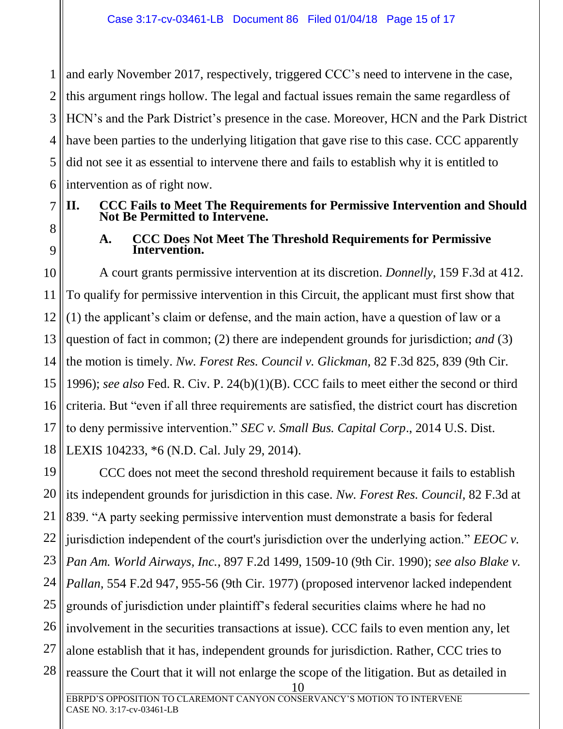1 2 3 4 5 6 and early November 2017, respectively, triggered CCC's need to intervene in the case, this argument rings hollow. The legal and factual issues remain the same regardless of HCN's and the Park District's presence in the case. Moreover, HCN and the Park District have been parties to the underlying litigation that gave rise to this case. CCC apparently did not see it as essential to intervene there and fails to establish why it is entitled to intervention as of right now.

### <span id="page-14-0"></span>**II. CCC Fails to Meet The Requirements for Permissive Intervention and Should Not Be Permitted to Intervene.**

<span id="page-14-1"></span>8 9

7

#### **A. CCC Does Not Meet The Threshold Requirements for Permissive Intervention.**

10 11 12 13 14 15 16 17 18 A court grants permissive intervention at its discretion. *Donnelly*, 159 F.3d at 412. To qualify for permissive intervention in this Circuit, the applicant must first show that (1) the applicant's claim or defense, and the main action, have a question of law or a question of fact in common; (2) there are independent grounds for jurisdiction; *and* (3) the motion is timely. *Nw. Forest Res. Council v. Glickman,* 82 F.3d 825, 839 (9th Cir. 1996); *see also* Fed. R. Civ. P. 24(b)(1)(B). CCC fails to meet either the second or third criteria. But "even if all three requirements are satisfied, the district court has discretion to deny permissive intervention." *SEC v. Small Bus. Capital Corp*., 2014 U.S. Dist. LEXIS 104233, \*6 (N.D. Cal. July 29, 2014).

19 20 21 22 23 24 25 26 27 28 CCC does not meet the second threshold requirement because it fails to establish its independent grounds for jurisdiction in this case. *Nw. Forest Res. Council,* 82 F.3d at 839. "A party seeking permissive intervention must demonstrate a basis for federal jurisdiction independent of the court's jurisdiction over the underlying action." *EEOC v. Pan Am. World Airways, Inc.*, 897 F.2d 1499, 1509-10 (9th Cir. 1990); *see also Blake v. Pallan,* 554 F.2d 947, 955-56 (9th Cir. 1977) (proposed intervenor lacked independent grounds of jurisdiction under plaintiff's federal securities claims where he had no involvement in the securities transactions at issue). CCC fails to even mention any, let alone establish that it has, independent grounds for jurisdiction. Rather, CCC tries to reassure the Court that it will not enlarge the scope of the litigation. But as detailed in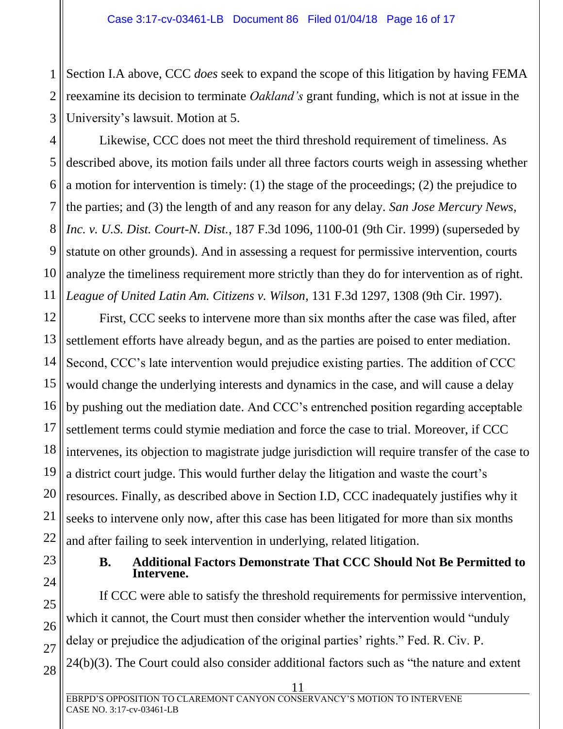1 2 3 Section I.A above, CCC *does* seek to expand the scope of this litigation by having FEMA reexamine its decision to terminate *Oakland's* grant funding, which is not at issue in the University's lawsuit. Motion at 5.

4 5 6 7 8 9 10 11 Likewise, CCC does not meet the third threshold requirement of timeliness. As described above, its motion fails under all three factors courts weigh in assessing whether a motion for intervention is timely: (1) the stage of the proceedings; (2) the prejudice to the parties; and (3) the length of and any reason for any delay. *San Jose Mercury News, Inc. v. U.S. Dist. Court-N. Dist.*, 187 F.3d 1096, 1100-01 (9th Cir. 1999) (superseded by statute on other grounds). And in assessing a request for permissive intervention, courts analyze the timeliness requirement more strictly than they do for intervention as of right. *League of United Latin Am. Citizens v. Wilson*, 131 F.3d 1297, 1308 (9th Cir. 1997).

12 13 14 15 16 17 18 19 20 First, CCC seeks to intervene more than six months after the case was filed, after settlement efforts have already begun, and as the parties are poised to enter mediation. Second, CCC's late intervention would prejudice existing parties. The addition of CCC would change the underlying interests and dynamics in the case, and will cause a delay by pushing out the mediation date. And CCC's entrenched position regarding acceptable settlement terms could stymie mediation and force the case to trial. Moreover, if CCC intervenes, its objection to magistrate judge jurisdiction will require transfer of the case to a district court judge. This would further delay the litigation and waste the court's resources. Finally, as described above in Section I.D, CCC inadequately justifies why it seeks to intervene only now, after this case has been litigated for more than six months and after failing to seek intervention in underlying, related litigation.

#### **B. Additional Factors Demonstrate That CCC Should Not Be Permitted to Intervene.**

<span id="page-15-0"></span>If CCC were able to satisfy the threshold requirements for permissive intervention, which it cannot, the Court must then consider whether the intervention would "unduly" delay or prejudice the adjudication of the original parties' rights." Fed. R. Civ. P. 24(b)(3). The Court could also consider additional factors such as "the nature and extent